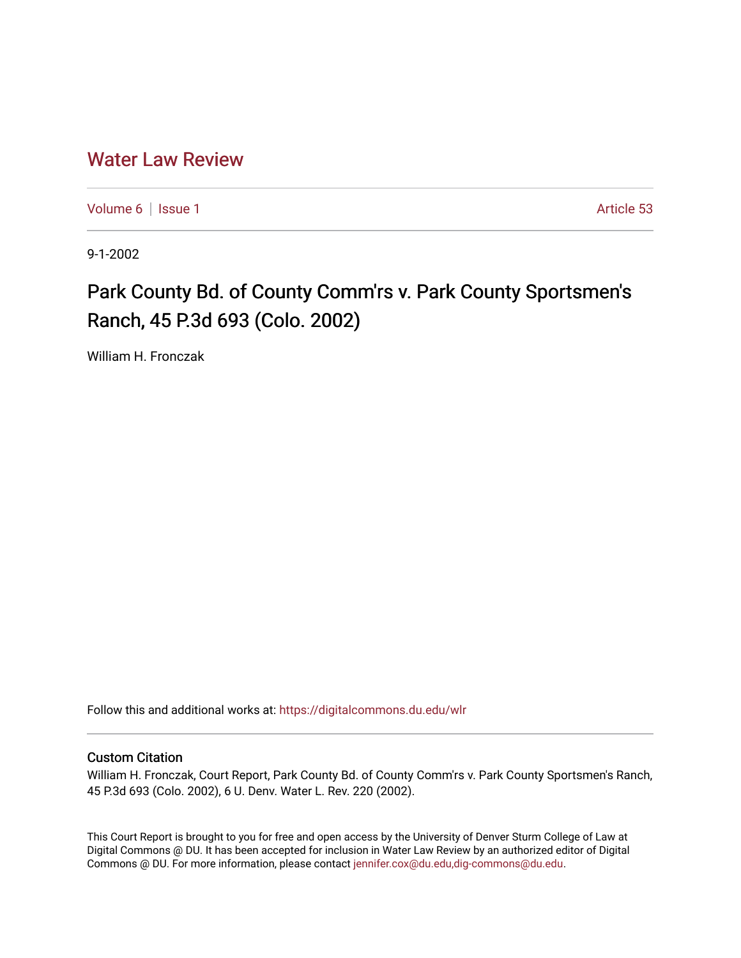## [Water Law Review](https://digitalcommons.du.edu/wlr)

[Volume 6](https://digitalcommons.du.edu/wlr/vol6) | [Issue 1](https://digitalcommons.du.edu/wlr/vol6/iss1) Article 53

9-1-2002

## Park County Bd. of County Comm'rs v. Park County Sportsmen's Ranch, 45 P.3d 693 (Colo. 2002)

William H. Fronczak

Follow this and additional works at: [https://digitalcommons.du.edu/wlr](https://digitalcommons.du.edu/wlr?utm_source=digitalcommons.du.edu%2Fwlr%2Fvol6%2Fiss1%2F53&utm_medium=PDF&utm_campaign=PDFCoverPages) 

## Custom Citation

William H. Fronczak, Court Report, Park County Bd. of County Comm'rs v. Park County Sportsmen's Ranch, 45 P.3d 693 (Colo. 2002), 6 U. Denv. Water L. Rev. 220 (2002).

This Court Report is brought to you for free and open access by the University of Denver Sturm College of Law at Digital Commons @ DU. It has been accepted for inclusion in Water Law Review by an authorized editor of Digital Commons @ DU. For more information, please contact [jennifer.cox@du.edu,dig-commons@du.edu.](mailto:jennifer.cox@du.edu,dig-commons@du.edu)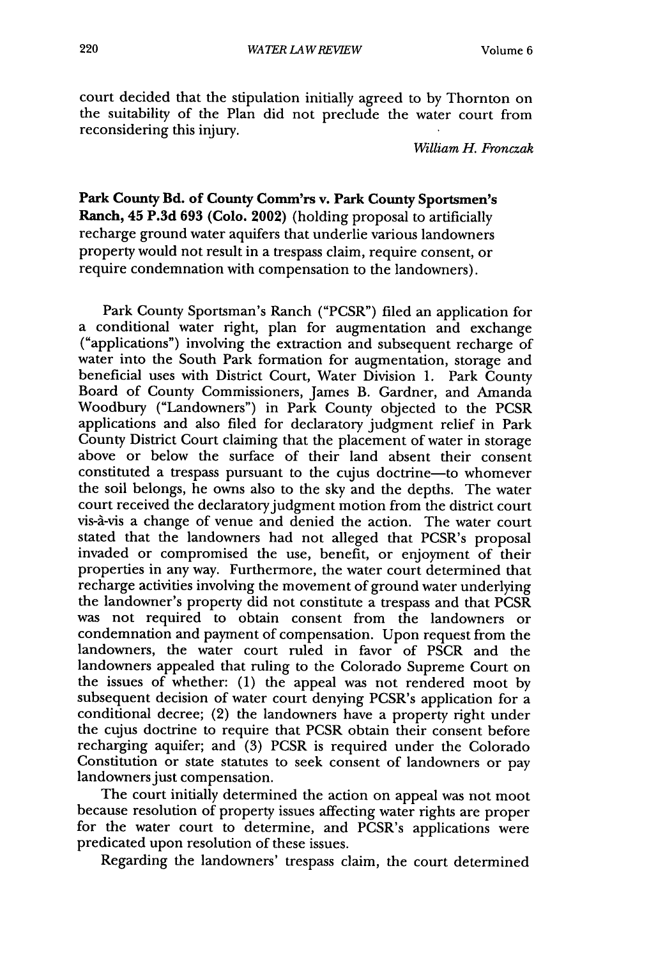court decided that the stipulation initially agreed to by Thornton on the suitability of the Plan did not preclude the water court from reconsidering this injury.

*William* H. *Fronczak*

**Park County Bd. of County Comm'rs v. Park County Sportsmen's Ranch, 45 P.3d 693 (Colo. 2002) (holding proposal to artificially** recharge ground water aquifers that underlie various landowners property would not result in a trespass claim, require consent, or require condemnation with compensation to the landowners).

Park County Sportsman's Ranch ("PCSR") filed an application for a conditional water right, plan for augmentation and exchange ("applications") involving the extraction and subsequent recharge of water into the South Park formation for augmentation, storage and beneficial uses with District Court, Water Division 1. Park County Board of County Commissioners, James B. Gardner, and Amanda Woodbury ("Landowners") in Park County objected to the PCSR applications and also filed for declaratory judgment relief in Park County District Court claiming that the placement of water in storage above or below the surface of their land absent their consent constituted a trespass pursuant to the cujus doctrine-to whomever the soil belongs, he owns also to the sky and the depths. The water court received the declaratory judgment motion from the district court vis-à-vis a change of venue and denied the action. The water court stated that the landowners had not alleged that PCSR's proposal invaded or compromised the use, benefit, or enjoyment of their properties in any way. Furthermore, the water court determined that recharge activities involving the movement of ground water underlying the landowner's property did not constitute a trespass and that PCSR was not required to obtain consent from the landowners or condemnation and payment of compensation. Upon request from the landowners, the water court ruled in favor of PSCR and the landowners appealed that ruling to the Colorado Supreme Court on the issues of whether: (1) the appeal was not rendered moot by subsequent decision of water court denying PCSR's application for a conditional decree; (2) the landowners have a property right under the cujus doctrine to require that PCSR obtain their consent before recharging aquifer; and (3) PCSR is required under the Colorado Constitution or state statutes to seek consent of landowners or pay landowners just compensation.

The court initially determined the action on appeal was not moot because resolution of property issues affecting water rights are proper for the water court to determine, and PCSR's applications were predicated upon resolution of these issues.

Regarding the landowners' trespass claim, the court determined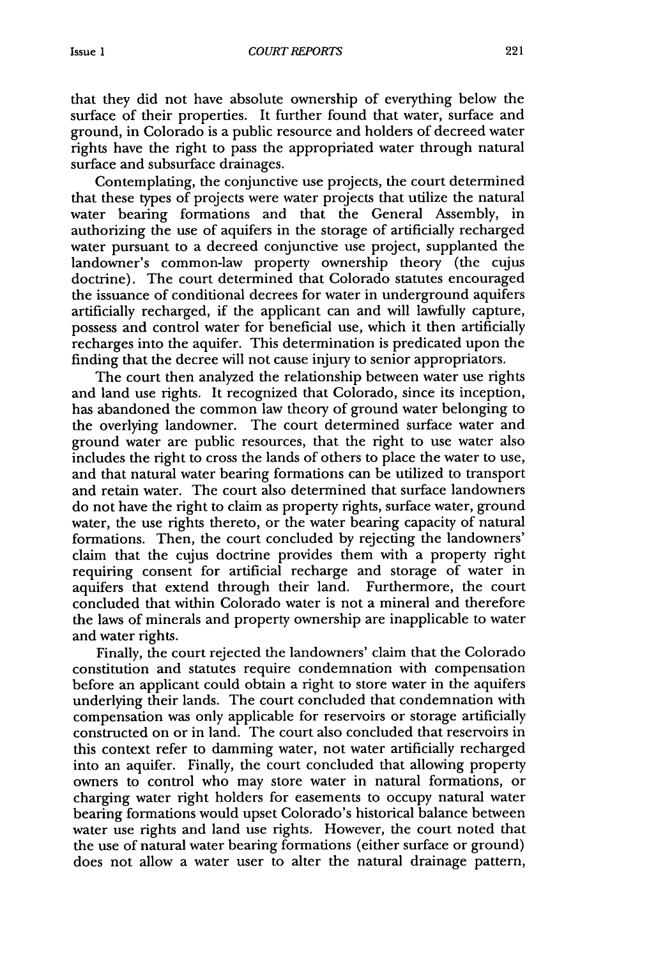that they did not have absolute ownership of everything below the surface of their properties. It further found that water, surface and ground, in Colorado is a public resource and holders of decreed water rights have the right to pass the appropriated water through natural surface and subsurface drainages.

Contemplating, the conjunctive use projects, the court determined that these types of projects were water projects that utilize the natural water bearing formations and that the General Assembly, in authorizing the use of aquifers in the storage of artificially recharged water pursuant to a decreed conjunctive use project, supplanted the landowner's common-law property ownership theory (the cujus doctrine). The court determined that Colorado statutes encouraged the issuance of conditional decrees for water in underground aquifers artificially recharged, if the applicant can and will lawfully capture, possess and control water for beneficial use, which it then artificially recharges into the aquifer. This determination is predicated upon the finding that the decree will not cause injury to senior appropriators.

The court then analyzed the relationship between water use rights and land use rights. It recognized that Colorado, since its inception, has abandoned the common law theory of ground water belonging to the overlying landowner. The court determined surface water and ground water are public resources, that the right to use water also includes the right to cross the lands of others to place the water to use, and that natural water bearing formations can be utilized to transport and retain water. The court also determined that surface landowners do not have the right to claim as property rights, surface water, ground water, the use rights thereto, or the water bearing capacity of natural formations. Then, the court concluded by rejecting the landowners' claim that the cujus doctrine provides them with a property right requiring consent for artificial recharge and storage of water in aquifers that extend through their land. Furthermore, the court concluded that within Colorado water is not a mineral and therefore the laws of minerals and property ownership are inapplicable to water and water rights.

Finally, the court rejected the landowners' claim that the Colorado constitution and statutes require condemnation with compensation before an applicant could obtain a right to store water in the aquifers underlying their lands. The court concluded that condemnation with compensation was only applicable for reservoirs or storage artificially constructed on or in land. The court also concluded that reservoirs in this context refer to damming water, not water artificially recharged into an aquifer. Finally, the court concluded that allowing property owners to control who may store water in natural formations, or charging water right holders for easements to occupy natural water bearing formations would upset Colorado's historical balance between water use rights and land use rights. However, the court noted that the use of natural water bearing formations (either surface or ground) does not allow a water user to alter the natural drainage pattern,